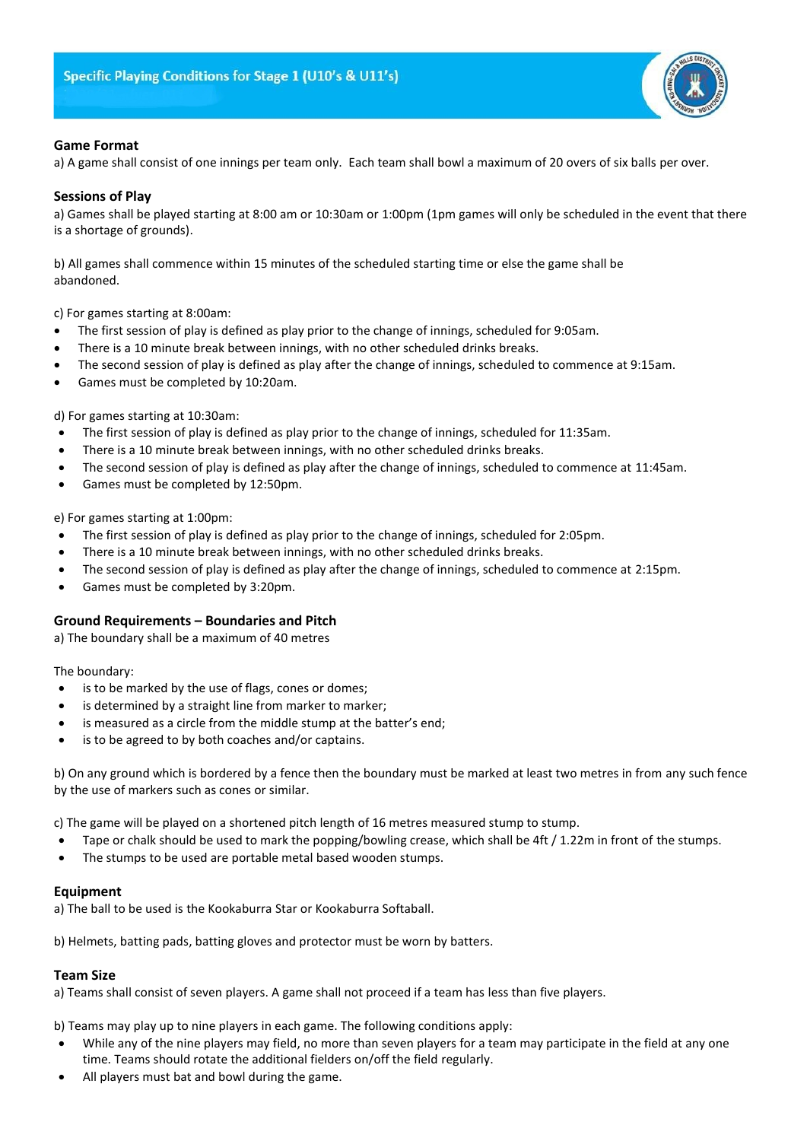

#### **Game Format**

a) A game shall consist of one innings per team only. Each team shall bowl a maximum of 20 overs of six balls per over.

#### **Sessions of Play**

a) Games shall be played starting at 8:00 am or 10:30am or 1:00pm (1pm games will only be scheduled in the event that there is a shortage of grounds).

b) All games shall commence within 15 minutes of the scheduled starting time or else the game shall be abandoned.

c) For games starting at 8:00am:

- The first session of play is defined as play prior to the change of innings, scheduled for 9:05am.
- There is a 10 minute break between innings, with no other scheduled drinks breaks.
- The second session of play is defined as play after the change of innings, scheduled to commence at 9:15am.
- Games must be completed by 10:20am.

d) For games starting at 10:30am:

- The first session of play is defined as play prior to the change of innings, scheduled for 11:35am.
- There is a 10 minute break between innings, with no other scheduled drinks breaks.
- The second session of play is defined as play after the change of innings, scheduled to commence at 11:45am.
- Games must be completed by 12:50pm.

e) For games starting at 1:00pm:

- The first session of play is defined as play prior to the change of innings, scheduled for 2:05pm.
- There is a 10 minute break between innings, with no other scheduled drinks breaks.
- The second session of play is defined as play after the change of innings, scheduled to commence at 2:15pm.
- Games must be completed by 3:20pm.

### **Ground Requirements – Boundaries and Pitch**

a) The boundary shall be a maximum of 40 metres

The boundary:

- is to be marked by the use of flags, cones or domes;
- is determined by a straight line from marker to marker;
- is measured as a circle from the middle stump at the batter's end;
- is to be agreed to by both coaches and/or captains.

b) On any ground which is bordered by a fence then the boundary must be marked at least two metres in from any such fence by the use of markers such as cones or similar.

c) The game will be played on a shortened pitch length of 16 metres measured stump to stump.

- Tape or chalk should be used to mark the popping/bowling crease, which shall be 4ft / 1.22m in front of the stumps.
- The stumps to be used are portable metal based wooden stumps.

#### **Equipment**

a) The ball to be used is the Kookaburra Star or Kookaburra Softaball.

b) Helmets, batting pads, batting gloves and protector must be worn by batters.

#### **Team Size**

a) Teams shall consist of seven players. A game shall not proceed if a team has less than five players.

b) Teams may play up to nine players in each game. The following conditions apply:

- While any of the nine players may field, no more than seven players for a team may participate in the field at any one time. Teams should rotate the additional fielders on/off the field regularly.
- All players must bat and bowl during the game.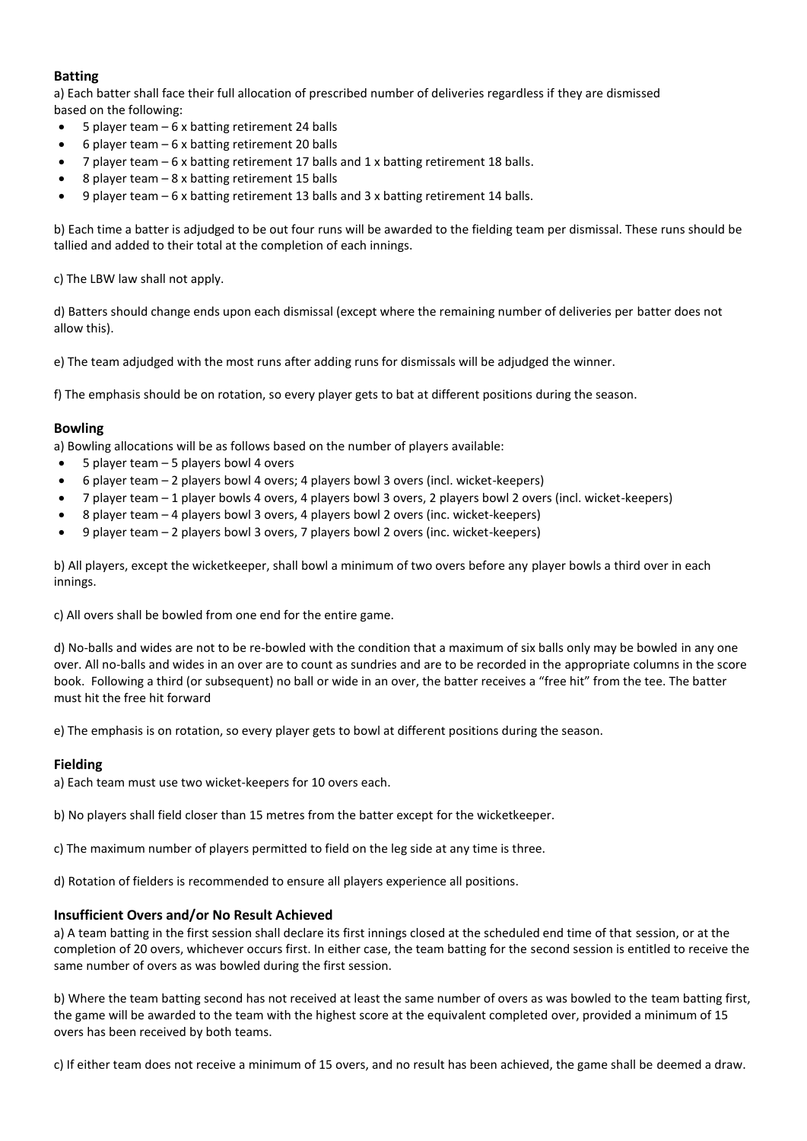## **Batting**

a) Each batter shall face their full allocation of prescribed number of deliveries regardless if they are dismissed based on the following:

- 5 player team  $-6x$  batting retirement 24 balls
- 6 player team  $-6x$  batting retirement 20 balls
- 7 player team 6 x batting retirement 17 balls and 1 x batting retirement 18 balls.
- 8 player team 8 x batting retirement 15 balls
- 9 player team 6 x batting retirement 13 balls and 3 x batting retirement 14 balls.

b) Each time a batter is adjudged to be out four runs will be awarded to the fielding team per dismissal. These runs should be tallied and added to their total at the completion of each innings.

c) The LBW law shall not apply.

d) Batters should change ends upon each dismissal (except where the remaining number of deliveries per batter does not allow this).

e) The team adjudged with the most runs after adding runs for dismissals will be adjudged the winner.

f) The emphasis should be on rotation, so every player gets to bat at different positions during the season.

## **Bowling**

a) Bowling allocations will be as follows based on the number of players available:

- 5 player team 5 players bowl 4 overs
- 6 player team 2 players bowl 4 overs; 4 players bowl 3 overs (incl. wicket-keepers)
- 7 player team 1 player bowls 4 overs, 4 players bowl 3 overs, 2 players bowl 2 overs (incl. wicket-keepers)
- 8 player team 4 players bowl 3 overs, 4 players bowl 2 overs (inc. wicket-keepers)
- 9 player team 2 players bowl 3 overs, 7 players bowl 2 overs (inc. wicket-keepers)

b) All players, except the wicketkeeper, shall bowl a minimum of two overs before any player bowls a third over in each innings.

c) All overs shall be bowled from one end for the entire game.

d) No-balls and wides are not to be re-bowled with the condition that a maximum of six balls only may be bowled in any one over. All no-balls and wides in an over are to count as sundries and are to be recorded in the appropriate columns in the score book. Following a third (or subsequent) no ball or wide in an over, the batter receives a "free hit" from the tee. The batter must hit the free hit forward

e) The emphasis is on rotation, so every player gets to bowl at different positions during the season.

## **Fielding**

a) Each team must use two wicket-keepers for 10 overs each.

b) No players shall field closer than 15 metres from the batter except for the wicketkeeper.

c) The maximum number of players permitted to field on the leg side at any time is three.

d) Rotation of fielders is recommended to ensure all players experience all positions.

## **Insufficient Overs and/or No Result Achieved**

a) A team batting in the first session shall declare its first innings closed at the scheduled end time of that session, or at the completion of 20 overs, whichever occurs first. In either case, the team batting for the second session is entitled to receive the same number of overs as was bowled during the first session.

b) Where the team batting second has not received at least the same number of overs as was bowled to the team batting first, the game will be awarded to the team with the highest score at the equivalent completed over, provided a minimum of 15 overs has been received by both teams.

c) If either team does not receive a minimum of 15 overs, and no result has been achieved, the game shall be deemed a draw.